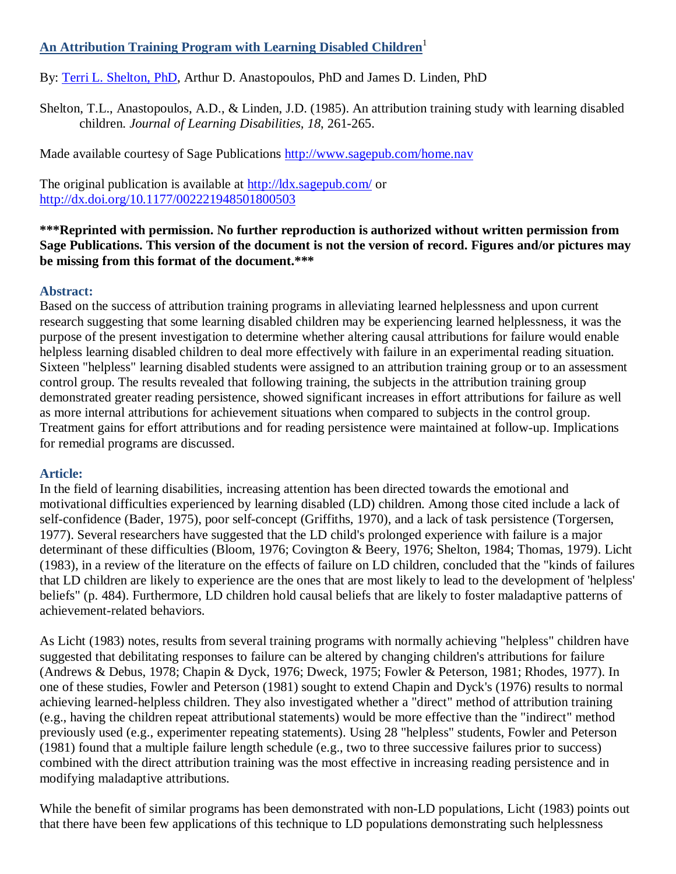# **An Attribution Training Program with Learning Disabled Children**<sup>1</sup>

By: [Terri L. Shelton,](http://libres.uncg.edu/ir/uncg/clist.aspx?id=131) PhD, Arthur D. Anastopoulos, PhD and James D. Linden, PhD

Shelton, T.L., Anastopoulos, A.D., & Linden, J.D. (1985). An attribution training study with learning disabled children. *Journal of Learning Disabilities, 18*, 261-265.

Made available courtesy of Sage Publications<http://www.sagepub.com/home.nav>

The original publication is available at<http://ldx.sagepub.com/> or <http://dx.doi.org/10.1177/002221948501800503>

### **\*\*\*Reprinted with permission. No further reproduction is authorized without written permission from Sage Publications. This version of the document is not the version of record. Figures and/or pictures may be missing from this format of the document.\*\*\***

### **Abstract:**

Based on the success of attribution training programs in alleviating learned helplessness and upon current research suggesting that some learning disabled children may be experiencing learned helplessness, it was the purpose of the present investigation to determine whether altering causal attributions for failure would enable helpless learning disabled children to deal more effectively with failure in an experimental reading situation. Sixteen "helpless" learning disabled students were assigned to an attribution training group or to an assessment control group. The results revealed that following training, the subjects in the attribution training group demonstrated greater reading persistence, showed significant increases in effort attributions for failure as well as more internal attributions for achievement situations when compared to subjects in the control group. Treatment gains for effort attributions and for reading persistence were maintained at follow-up. Implications for remedial programs are discussed.

#### **Article:**

In the field of learning disabilities, increasing attention has been directed towards the emotional and motivational difficulties experienced by learning disabled (LD) children. Among those cited include a lack of self-confidence (Bader, 1975), poor self-concept (Griffiths, 1970), and a lack of task persistence (Torgersen, 1977). Several researchers have suggested that the LD child's prolonged experience with failure is a major determinant of these difficulties (Bloom, 1976; Covington & Beery, 1976; Shelton, 1984; Thomas, 1979). Licht (1983), in a review of the literature on the effects of failure on LD children, concluded that the "kinds of failures that LD children are likely to experience are the ones that are most likely to lead to the development of 'helpless' beliefs" (p. 484). Furthermore, LD children hold causal beliefs that are likely to foster maladaptive patterns of achievement-related behaviors.

As Licht (1983) notes, results from several training programs with normally achieving "helpless" children have suggested that debilitating responses to failure can be altered by changing children's attributions for failure (Andrews & Debus, 1978; Chapin & Dyck, 1976; Dweck, 1975; Fowler & Peterson, 1981; Rhodes, 1977). In one of these studies, Fowler and Peterson (1981) sought to extend Chapin and Dyck's (1976) results to normal achieving learned-helpless children. They also investigated whether a "direct" method of attribution training (e.g., having the children repeat attributional statements) would be more effective than the "indirect" method previously used (e.g., experimenter repeating statements). Using 28 "helpless" students, Fowler and Peterson (1981) found that a multiple failure length schedule (e.g., two to three successive failures prior to success) combined with the direct attribution training was the most effective in increasing reading persistence and in modifying maladaptive attributions.

While the benefit of similar programs has been demonstrated with non-LD populations, Licht (1983) points out that there have been few applications of this technique to LD populations demonstrating such helplessness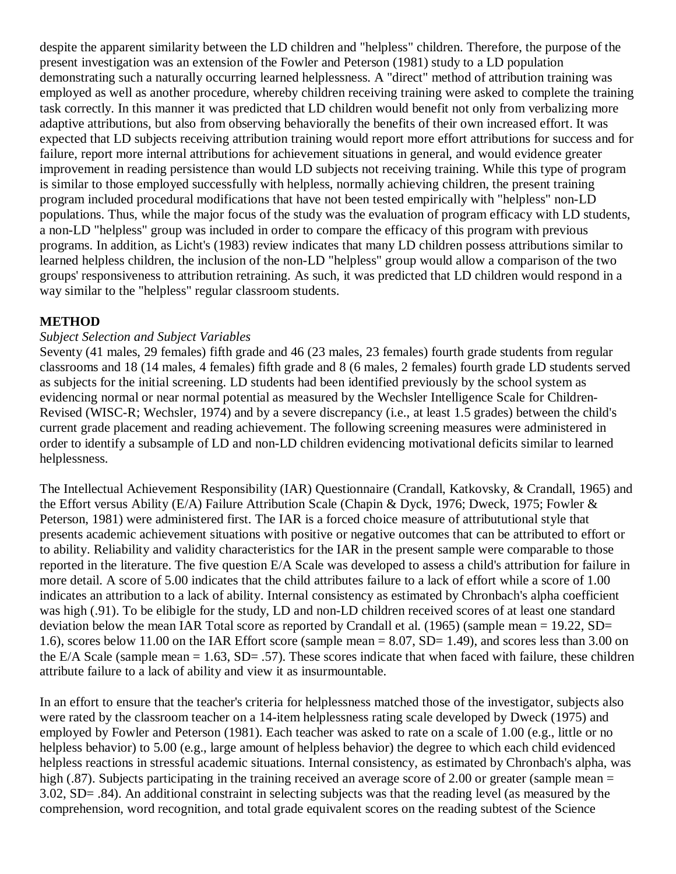despite the apparent similarity between the LD children and "helpless" children. Therefore, the purpose of the present investigation was an extension of the Fowler and Peterson (1981) study to a LD population demonstrating such a naturally occurring learned helplessness. A "direct" method of attribution training was employed as well as another procedure, whereby children receiving training were asked to complete the training task correctly. In this manner it was predicted that LD children would benefit not only from verbalizing more adaptive attributions, but also from observing behaviorally the benefits of their own increased effort. It was expected that LD subjects receiving attribution training would report more effort attributions for success and for failure, report more internal attributions for achievement situations in general, and would evidence greater improvement in reading persistence than would LD subjects not receiving training. While this type of program is similar to those employed successfully with helpless, normally achieving children, the present training program included procedural modifications that have not been tested empirically with "helpless" non-LD populations. Thus, while the major focus of the study was the evaluation of program efficacy with LD students, a non-LD "helpless" group was included in order to compare the efficacy of this program with previous programs. In addition, as Licht's (1983) review indicates that many LD children possess attributions similar to learned helpless children, the inclusion of the non-LD "helpless" group would allow a comparison of the two groups' responsiveness to attribution retraining. As such, it was predicted that LD children would respond in a way similar to the "helpless" regular classroom students.

## **METHOD**

#### *Subject Selection and Subject Variables*

Seventy (41 males, 29 females) fifth grade and 46 (23 males, 23 females) fourth grade students from regular classrooms and 18 (14 males, 4 females) fifth grade and 8 (6 males, 2 females) fourth grade LD students served as subjects for the initial screening. LD students had been identified previously by the school system as evidencing normal or near normal potential as measured by the Wechsler Intelligence Scale for Children-Revised (WISC-R; Wechsler, 1974) and by a severe discrepancy (i.e., at least 1.5 grades) between the child's current grade placement and reading achievement. The following screening measures were administered in order to identify a subsample of LD and non-LD children evidencing motivational deficits similar to learned helplessness.

The Intellectual Achievement Responsibility (IAR) Questionnaire (Crandall, Katkovsky, & Crandall, 1965) and the Effort versus Ability (E/A) Failure Attribution Scale (Chapin & Dyck, 1976; Dweck, 1975; Fowler & Peterson, 1981) were administered first. The IAR is a forced choice measure of attribututional style that presents academic achievement situations with positive or negative outcomes that can be attributed to effort or to ability. Reliability and validity characteristics for the IAR in the present sample were comparable to those reported in the literature. The five question E/A Scale was developed to assess a child's attribution for failure in more detail. A score of 5.00 indicates that the child attributes failure to a lack of effort while a score of 1.00 indicates an attribution to a lack of ability. Internal consistency as estimated by Chronbach's alpha coefficient was high (.91). To be elibigle for the study, LD and non-LD children received scores of at least one standard deviation below the mean IAR Total score as reported by Crandall et al. (1965) (sample mean = 19.22, SD= 1.6), scores below 11.00 on the IAR Effort score (sample mean = 8.07, SD= 1.49), and scores less than 3.00 on the E/A Scale (sample mean  $= 1.63$ , SD $= .57$ ). These scores indicate that when faced with failure, these children attribute failure to a lack of ability and view it as insurmountable.

In an effort to ensure that the teacher's criteria for helplessness matched those of the investigator, subjects also were rated by the classroom teacher on a 14-item helplessness rating scale developed by Dweck (1975) and employed by Fowler and Peterson (1981). Each teacher was asked to rate on a scale of 1.00 (e.g., little or no helpless behavior) to 5.00 (e.g., large amount of helpless behavior) the degree to which each child evidenced helpless reactions in stressful academic situations. Internal consistency, as estimated by Chronbach's alpha, was high (.87). Subjects participating in the training received an average score of 2.00 or greater (sample mean = 3.02, SD= .84). An additional constraint in selecting subjects was that the reading level (as measured by the comprehension, word recognition, and total grade equivalent scores on the reading subtest of the Science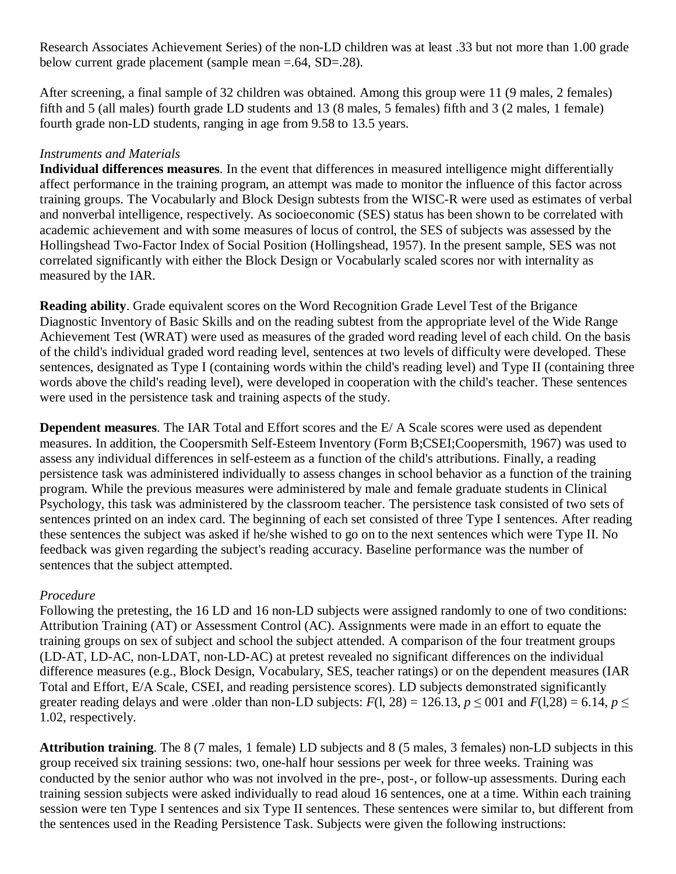Research Associates Achievement Series) of the non-LD children was at least .33 but not more than 1.00 grade below current grade placement (sample mean =.64, SD=.28).

After screening, a final sample of 32 children was obtained. Among this group were 11 (9 males, 2 females) fifth and 5 (all males) fourth grade LD students and 13 (8 males, 5 females) fifth and 3 (2 males, 1 female) fourth grade non-LD students, ranging in age from 9.58 to 13.5 years.

## *Instruments and Materials*

**Individual differences measures**. In the event that differences in measured intelligence might differentially affect performance in the training program, an attempt was made to monitor the influence of this factor across training groups. The Vocabularly and Block Design subtests from the WISC-R were used as estimates of verbal and nonverbal intelligence, respectively. As socioeconomic (SES) status has been shown to be correlated with academic achievement and with some measures of locus of control, the SES of subjects was assessed by the Hollingshead Two-Factor Index of Social Position (Hollingshead, 1957). In the present sample, SES was not correlated significantly with either the Block Design or Vocabularly scaled scores nor with internality as measured by the IAR.

**Reading ability**. Grade equivalent scores on the Word Recognition Grade Level Test of the Brigance Diagnostic Inventory of Basic Skills and on the reading subtest from the appropriate level of the Wide Range Achievement Test (WRAT) were used as measures of the graded word reading level of each child. On the basis of the child's individual graded word reading level, sentences at two levels of difficulty were developed. These sentences, designated as Type I (containing words within the child's reading level) and Type II (containing three words above the child's reading level), were developed in cooperation with the child's teacher. These sentences were used in the persistence task and training aspects of the study.

**Dependent measures**. The IAR Total and Effort scores and the E/ A Scale scores were used as dependent measures. In addition, the Coopersmith Self-Esteem Inventory (Form B;CSEI;Coopersmith, 1967) was used to assess any individual differences in self-esteem as a function of the child's attributions. Finally, a reading persistence task was administered individually to assess changes in school behavior as a function of the training program. While the previous measures were administered by male and female graduate students in Clinical Psychology, this task was administered by the classroom teacher. The persistence task consisted of two sets of sentences printed on an index card. The beginning of each set consisted of three Type I sentences. After reading these sentences the subject was asked if he/she wished to go on to the next sentences which were Type II. No feedback was given regarding the subject's reading accuracy. Baseline performance was the number of sentences that the subject attempted.

## *Procedure*

Following the pretesting, the 16 LD and 16 non-LD subjects were assigned randomly to one of two conditions: Attribution Training (AT) or Assessment Control (AC). Assignments were made in an effort to equate the training groups on sex of subject and school the subject attended. A comparison of the four treatment groups (LD-AT, LD-AC, non-LDAT, non-LD-AC) at pretest revealed no significant differences on the individual difference measures (e.g., Block Design, Vocabulary, SES, teacher ratings) or on the dependent measures (IAR Total and Effort, E/A Scale, CSEI, and reading persistence scores). LD subjects demonstrated significantly greater reading delays and were .older than non-LD subjects:  $F(1, 28) = 126.13$ ,  $p \le 001$  and  $F(1,28) = 6.14$ ,  $p \le$ 1.02, respectively.

**Attribution training**. The 8 (7 males, 1 female) LD subjects and 8 (5 males, 3 females) non-LD subjects in this group received six training sessions: two, one-half hour sessions per week for three weeks. Training was conducted by the senior author who was not involved in the pre-, post-, or follow-up assessments. During each training session subjects were asked individually to read aloud 16 sentences, one at a time. Within each training session were ten Type I sentences and six Type II sentences. These sentences were similar to, but different from the sentences used in the Reading Persistence Task. Subjects were given the following instructions: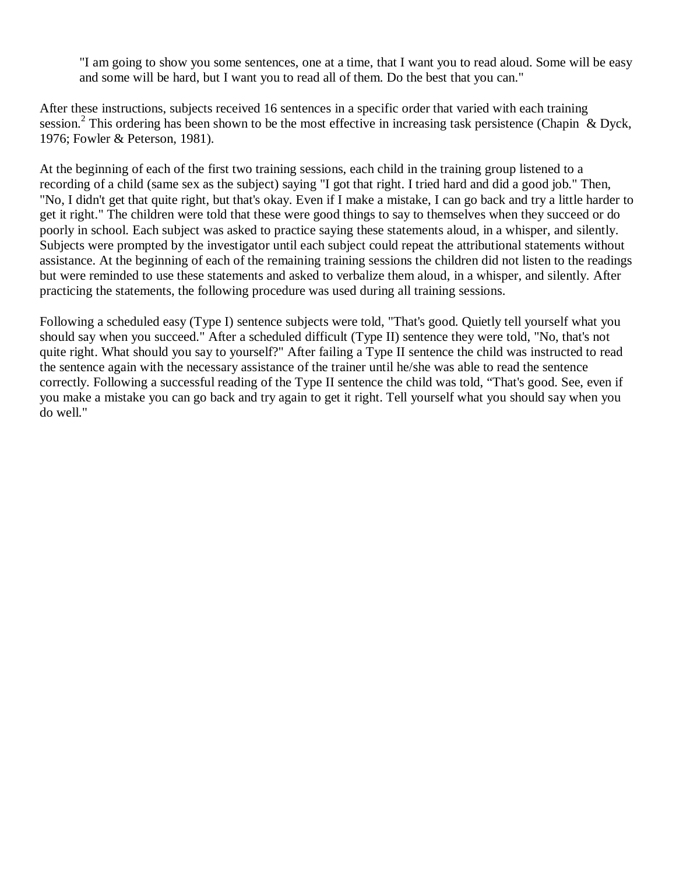"I am going to show you some sentences, one at a time, that I want you to read aloud. Some will be easy and some will be hard, but I want you to read all of them. Do the best that you can."

After these instructions, subjects received 16 sentences in a specific order that varied with each training session.<sup>2</sup> This ordering has been shown to be the most effective in increasing task persistence (Chapin & Dyck, 1976; Fowler & Peterson, 1981).

At the beginning of each of the first two training sessions, each child in the training group listened to a recording of a child (same sex as the subject) saying "I got that right. I tried hard and did a good job." Then, "No, I didn't get that quite right, but that's okay. Even if I make a mistake, I can go back and try a little harder to get it right." The children were told that these were good things to say to themselves when they succeed or do poorly in school. Each subject was asked to practice saying these statements aloud, in a whisper, and silently. Subjects were prompted by the investigator until each subject could repeat the attributional statements without assistance. At the beginning of each of the remaining training sessions the children did not listen to the readings but were reminded to use these statements and asked to verbalize them aloud, in a whisper, and silently. After practicing the statements, the following procedure was used during all training sessions.

Following a scheduled easy (Type I) sentence subjects were told, "That's good. Quietly tell yourself what you should say when you succeed." After a scheduled difficult (Type II) sentence they were told, "No, that's not quite right. What should you say to yourself?" After failing a Type II sentence the child was instructed to read the sentence again with the necessary assistance of the trainer until he/she was able to read the sentence correctly. Following a successful reading of the Type II sentence the child was told, "That's good. See, even if you make a mistake you can go back and try again to get it right. Tell yourself what you should say when you do well."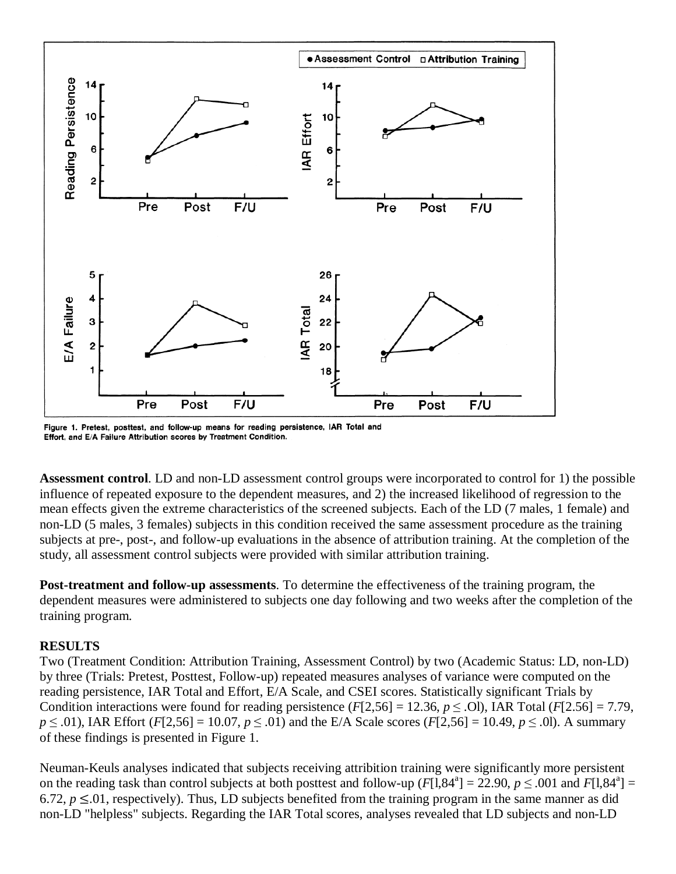

Figure 1. Pretest, posttest, and follow-up means for reading persistence, IAR Total and Effort, and E/A Failure Attribution scores by Treatment Condition.

**Assessment control**. LD and non-LD assessment control groups were incorporated to control for 1) the possible influence of repeated exposure to the dependent measures, and 2) the increased likelihood of regression to the mean effects given the extreme characteristics of the screened subjects. Each of the LD (7 males, 1 female) and non-LD (5 males, 3 females) subjects in this condition received the same assessment procedure as the training subjects at pre-, post-, and follow-up evaluations in the absence of attribution training. At the completion of the study, all assessment control subjects were provided with similar attribution training.

**Post-treatment and follow-up assessments**. To determine the effectiveness of the training program, the dependent measures were administered to subjects one day following and two weeks after the completion of the training program.

## **RESULTS**

Two (Treatment Condition: Attribution Training, Assessment Control) by two (Academic Status: LD, non-LD) by three (Trials: Pretest, Posttest, Follow-up) repeated measures analyses of variance were computed on the reading persistence, IAR Total and Effort, E/A Scale, and CSEI scores. Statistically significant Trials by Condition interactions were found for reading persistence  $(F[2,56] = 12.36, p \le .01)$ , IAR Total  $(F[2.56] = 7.79,$ *p* ≤ .01), IAR Effort (*F*[2,56] = 10.07, *p* ≤ .01) and the E/A Scale scores (*F*[2,56] = 10.49, *p* ≤ .01). A summary of these findings is presented in Figure 1.

Neuman-Keuls analyses indicated that subjects receiving attribition training were significantly more persistent on the reading task than control subjects at both posttest and follow-up  $(F[1,84^a] = 22.90, p \le .001$  and  $F[1,84^a] =$ 6.72,  $p \le 0.01$ , respectively). Thus, LD subjects benefited from the training program in the same manner as did non-LD "helpless" subjects. Regarding the IAR Total scores, analyses revealed that LD subjects and non-LD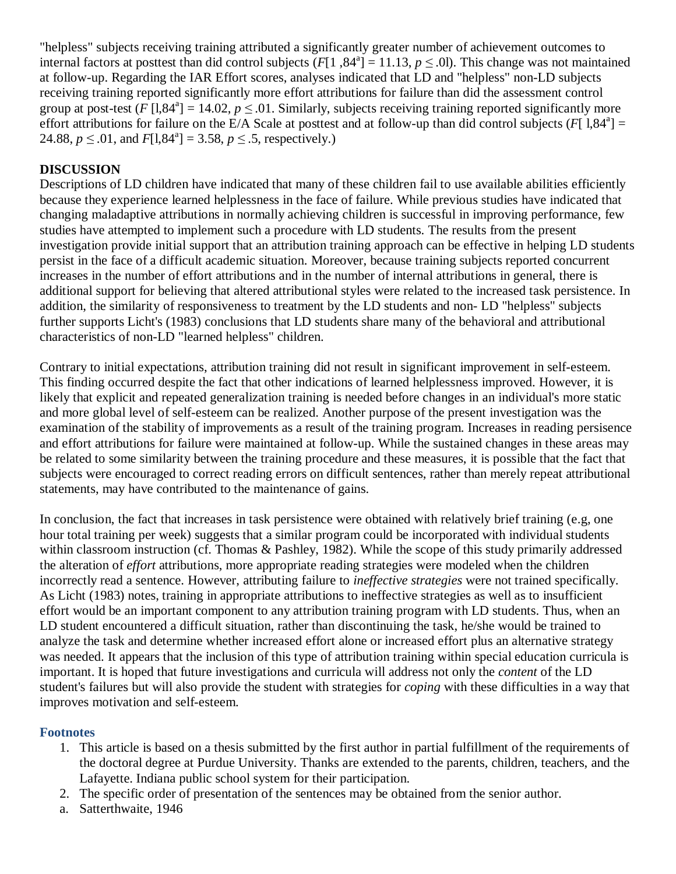"helpless" subjects receiving training attributed a significantly greater number of achievement outcomes to internal factors at posttest than did control subjects  $(F[1, 84^a] = 11.13, p \le .01)$ . This change was not maintained at follow-up. Regarding the IAR Effort scores, analyses indicated that LD and "helpless" non-LD subjects receiving training reported significantly more effort attributions for failure than did the assessment control group at post-test  $(F[1,84^a] = 14.02, p \le 0.01$ . Similarly, subjects receiving training reported significantly more effort attributions for failure on the  $E/A$  Scale at posttest and at follow-up than did control subjects ( $F[1,84^a] =$ 24.88,  $p \le 0.01$ , and  $F[1,84^a] = 3.58$ ,  $p \le 0.5$ , respectively.)

## **DISCUSSION**

Descriptions of LD children have indicated that many of these children fail to use available abilities efficiently because they experience learned helplessness in the face of failure. While previous studies have indicated that changing maladaptive attributions in normally achieving children is successful in improving performance, few studies have attempted to implement such a procedure with LD students. The results from the present investigation provide initial support that an attribution training approach can be effective in helping LD students persist in the face of a difficult academic situation. Moreover, because training subjects reported concurrent increases in the number of effort attributions and in the number of internal attributions in general, there is additional support for believing that altered attributional styles were related to the increased task persistence. In addition, the similarity of responsiveness to treatment by the LD students and non- LD "helpless" subjects further supports Licht's (1983) conclusions that LD students share many of the behavioral and attributional characteristics of non-LD "learned helpless" children.

Contrary to initial expectations, attribution training did not result in significant improvement in self-esteem. This finding occurred despite the fact that other indications of learned helplessness improved. However, it is likely that explicit and repeated generalization training is needed before changes in an individual's more static and more global level of self-esteem can be realized. Another purpose of the present investigation was the examination of the stability of improvements as a result of the training program. Increases in reading persisence and effort attributions for failure were maintained at follow-up. While the sustained changes in these areas may be related to some similarity between the training procedure and these measures, it is possible that the fact that subjects were encouraged to correct reading errors on difficult sentences, rather than merely repeat attributional statements, may have contributed to the maintenance of gains.

In conclusion, the fact that increases in task persistence were obtained with relatively brief training (e.g, one hour total training per week) suggests that a similar program could be incorporated with individual students within classroom instruction (cf. Thomas & Pashley, 1982). While the scope of this study primarily addressed the alteration of *effort* attributions, more appropriate reading strategies were modeled when the children incorrectly read a sentence. However, attributing failure to *ineffective strategies* were not trained specifically. As Licht (1983) notes, training in appropriate attributions to ineffective strategies as well as to insufficient effort would be an important component to any attribution training program with LD students. Thus, when an LD student encountered a difficult situation, rather than discontinuing the task, he/she would be trained to analyze the task and determine whether increased effort alone or increased effort plus an alternative strategy was needed. It appears that the inclusion of this type of attribution training within special education curricula is important. It is hoped that future investigations and curricula will address not only the *content* of the LD student's failures but will also provide the student with strategies for *coping* with these difficulties in a way that improves motivation and self-esteem.

#### **Footnotes**

- 1. This article is based on a thesis submitted by the first author in partial fulfillment of the requirements of the doctoral degree at Purdue University. Thanks are extended to the parents, children, teachers, and the Lafayette. Indiana public school system for their participation.
- 2. The specific order of presentation of the sentences may be obtained from the senior author.
- a. Satterthwaite, 1946